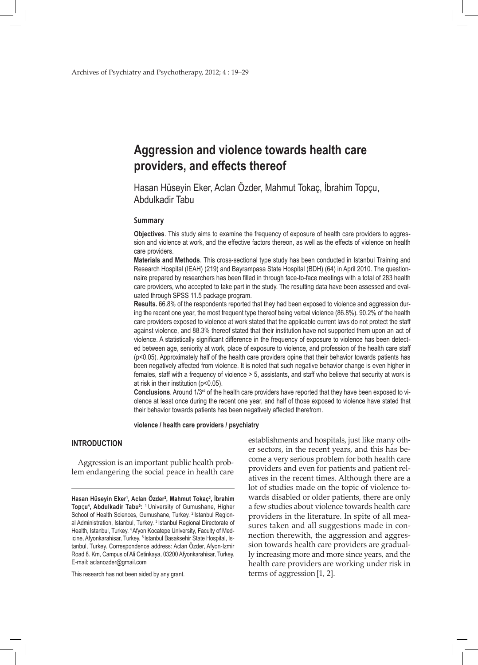# **Aggression and violence towards health care providers, and effects thereof**

Hasan Hüseyin Eker, Aclan Özder, Mahmut Tokaç, İbrahim Topçu, Abdulkadir Tabu

### **Summary**

**Objectives**. This study aims to examine the frequency of exposure of health care providers to aggression and violence at work, and the effective factors thereon, as well as the effects of violence on health care providers.

**Materials and Methods**. This cross-sectional type study has been conducted in Istanbul Training and Research Hospital (IEAH) (219) and Bayrampasa State Hospital (BDH) (64) in April 2010. The questionnaire prepared by researchers has been filled in through face-to-face meetings with a total of 283 health care providers, who accepted to take part in the study. The resulting data have been assessed and evaluated through SPSS 11.5 package program.

**Results.** 66.8% of the respondents reported that they had been exposed to violence and aggression during the recent one year, the most frequent type thereof being verbal violence (86.8%). 90.2% of the health care providers exposed to violence at work stated that the applicable current laws do not protect the staff against violence, and 88.3% thereof stated that their institution have not supported them upon an act of violence. A statistically significant difference in the frequency of exposure to violence has been detected between age, seniority at work, place of exposure to violence, and profession of the health care staff (p<0.05). Approximately half of the health care providers opine that their behavior towards patients has been negatively affected from violence. It is noted that such negative behavior change is even higher in females, staff with a frequency of violence > 5, assistants, and staff who believe that security at work is at risk in their institution (p<0.05).

**Conclusions**. Around 1/3rd of the health care providers have reported that they have been exposed to violence at least once during the recent one year, and half of those exposed to violence have stated that their behavior towards patients has been negatively affected therefrom.

**violence / health care providers / psychiatry**

#### **INTRODUCTION**

Aggression is an important public health problem endangering the social peace in health care

This research has not been aided by any grant.

establishments and hospitals, just like many other sectors, in the recent years, and this has become a very serious problem for both health care providers and even for patients and patient relatives in the recent times. Although there are a lot of studies made on the topic of violence towards disabled or older patients, there are only a few studies about violence towards health care providers in the literature. In spite of all measures taken and all suggestions made in connection therewith, the aggression and aggression towards health care providers are gradually increasing more and more since years, and the health care providers are working under risk in terms of aggression[1, 2].

**Hasan Hüseyin Eker1 , Aclan Özder2 , Mahmut Tokaç3 , İbrahim**  Topçu<sup>4</sup>, Abdulkadir Tabu<sup>5</sup>: <sup>1</sup> University of Gumushane, Higher School of Health Sciences, Gumushane, Turkey. <sup>2</sup> Istanbul Regional Administration, Istanbul, Turkey. 3 Istanbul Regional Directorate of Health, Istanbul, Turkey. 4 Afyon Kocatepe University, Faculty of Medicine, Afyonkarahisar, Turkey. <sup>5</sup> Istanbul Basaksehir State Hospital, Istanbul, Turkey. Correspondence address: Aclan Özder, Afyon-Izmir Road 8. Km, Campus of Ali Cetinkaya, 03200 Afyonkarahisar, Turkey. E-mail: aclanozder@gmail.com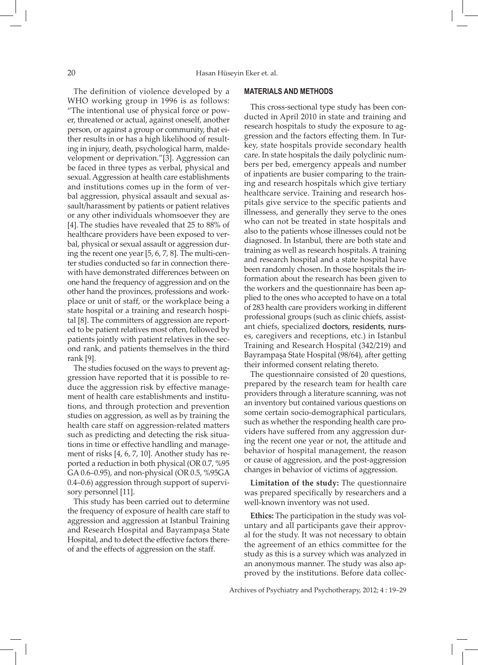The definition of violence developed by a WHO working group in 1996 is as follows: "The intentional use of physical force or power, threatened or actual, against oneself, another person, or against a group or community, that either results in or has a high likelihood of resulting in injury, death, psychological harm, maldevelopment or deprivation."[3]. Aggression can be faced in three types as verbal, physical and sexual. Aggression at health care establishments and institutions comes up in the form of verbal aggression, physical assault and sexual assault/harassment by patients or patient relatives or any other individuals whomsoever they are [4]. The studies have revealed that 25 to 88% of healthcare providers have been exposed to verbal, physical or sexual assault or aggression during the recent one year [5, 6, 7, 8]. The multi-center studies conducted so far in connection therewith have demonstrated differences between on one hand the frequency of aggression and on the other hand the provinces, professions and workplace or unit of staff, or the workplace being a state hospital or a training and research hospital [8]. The committers of aggression are reported to be patient relatives most often, followed by patients jointly with patient relatives in the second rank, and patients themselves in the third rank [9].

The studies focused on the ways to prevent aggression have reported that it is possible to reduce the aggression risk by effective management of health care establishments and institutions, and through protection and prevention studies on aggression, as well as by training the health care staff on aggression-related matters such as predicting and detecting the risk situations in time or effective handling and management of risks [4, 6, 7, 10]. Another study has reported a reduction in both physical (OR 0.7, %95 GA 0.6–0.95), and non-physical (OR 0.5, %95GA 0.4–0.6) aggression through support of supervisory personnel [11].

This study has been carried out to determine the frequency of exposure of health care staff to aggression and aggression at Istanbul Training and Research Hospital and Bayrampaşa State Hospital, and to detect the effective factors thereof and the effects of aggression on the staff.

#### **MATERIALS AND METHODS**

This cross-sectional type study has been conducted in April 2010 in state and training and research hospitals to study the exposure to aggression and the factors effecting them. In Turkey, state hospitals provide secondary health care. In state hospitals the daily polyclinic numbers per bed, emergency appeals and number of inpatients are busier comparing to the training and research hospitals which give tertiary healthcare service. Training and research hospitals give service to the specific patients and illnessess, and generally they serve to the ones who can not be treated in state hospitals and also to the patients whose illnesses could not be diagnosed. In Istanbul, there are both state and training as well as research hospitals. A training and research hospital and a state hospital have been randomly chosen. In those hospitals the information about the research has been given to the workers and the questionnaire has been applied to the ones who accepted to have on a total of 283 health care providers working in different professional groups (such as clinic chiefs, assistant chiefs, specialized doctors, residents, nurses, caregivers and receptions, etc.) in Istanbul Training and Research Hospital (342/219) and Bayrampaşa State Hospital (98/64), after getting their informed consent relating thereto.

The questionnaire consisted of 20 questions, prepared by the research team for health care providers through a literature scanning, was not an inventory but contained various questions on some certain socio-demographical particulars, such as whether the responding health care providers have suffered from any aggression during the recent one year or not, the attitude and behavior of hospital management, the reason or cause of aggression, and the post-aggression changes in behavior of victims of aggression.

**Limitation of the study:** The questionnaire was prepared specifically by researchers and a well-known inventory was not used.

**Ethics:** The participation in the study was voluntary and all participants gave their approval for the study. It was not necessary to obtain the agreement of an ethics committee for the study as this is a survey which was analyzed in an anonymous manner. The study was also approved by the institutions. Before data collec-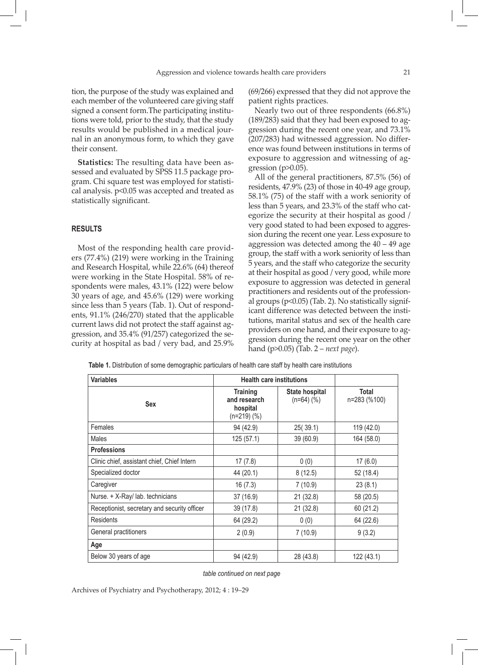tion, the purpose of the study was explained and each member of the volunteered care giving staff signed a consent form.The participating institutions were told, prior to the study, that the study results would be published in a medical journal in an anonymous form, to which they gave their consent.

**Statistics:** The resulting data have been assessed and evaluated by SPSS 11.5 package program. Chi square test was employed for statistical analysis. p<0.05 was accepted and treated as statistically significant.

# **RESULTS**

Most of the responding health care providers (77.4%) (219) were working in the Training and Research Hospital, while 22.6% (64) thereof were working in the State Hospital. 58% of respondents were males, 43.1% (122) were below 30 years of age, and 45.6% (129) were working since less than 5 years (Tab. 1). Out of respondents, 91.1% (246/270) stated that the applicable current laws did not protect the staff against aggression, and 35.4% (91/257) categorized the security at hospital as bad / very bad, and 25.9%

(69/266) expressed that they did not approve the patient rights practices.

Nearly two out of three respondents (66.8%) (189/283) said that they had been exposed to aggression during the recent one year, and 73.1% (207/283) had witnessed aggression. No difference was found between institutions in terms of exposure to aggression and witnessing of aggression ( $p$  $>$ 0.05).

All of the general practitioners, 87.5% (56) of residents, 47.9% (23) of those in 40-49 age group, 58.1% (75) of the staff with a work seniority of less than 5 years, and 23.3% of the staff who categorize the security at their hospital as good / very good stated to had been exposed to aggression during the recent one year. Less exposure to aggression was detected among the 40 – 49 age group, the staff with a work seniority of less than 5 years, and the staff who categorize the security at their hospital as good / very good, while more exposure to aggression was detected in general practitioners and residents out of the professional groups (p<0.05) (Tab. 2). No statistically significant difference was detected between the institutions, marital status and sex of the health care providers on one hand, and their exposure to aggression during the recent one year on the other hand (p>0.05) (Tab. 2 – *next page*).

**Table 1.** Distribution of some demographic particulars of health care staff by health care institutions

| <b>Variables</b>                             |                                                            | <b>Health care institutions</b>   |                       |  |  |
|----------------------------------------------|------------------------------------------------------------|-----------------------------------|-----------------------|--|--|
| <b>Sex</b>                                   | <b>Training</b><br>and research<br>hospital<br>$(n=219)(%$ | State hospital<br>$(n=64)$ $(\%)$ | Total<br>n=283 (%100) |  |  |
| Females                                      | 94 (42.9)                                                  | 25(39.1)                          | 119 (42.0)            |  |  |
| Males                                        | 125(57.1)                                                  | 39 (60.9)                         | 164 (58.0)            |  |  |
| <b>Professions</b>                           |                                                            |                                   |                       |  |  |
| Clinic chief, assistant chief, Chief Intern  | 17(7.8)                                                    | 0(0)                              | 17(6.0)               |  |  |
| Specialized doctor                           | 44 (20.1)                                                  | 8(12.5)                           | 52 (18.4)             |  |  |
| Caregiver                                    | 16(7.3)                                                    | 7(10.9)                           | 23(8.1)               |  |  |
| Nurse. + X-Ray/ lab. technicians             | 37 (16.9)                                                  | 21(32.8)                          | 58 (20.5)             |  |  |
| Receptionist, secretary and security officer | 39 (17.8)                                                  | 21(32.8)                          | 60 (21.2)             |  |  |
| <b>Residents</b>                             | 64 (29.2)                                                  | 0(0)                              | 64 (22.6)             |  |  |
| General practitioners                        | 2(0.9)                                                     | 7(10.9)                           | 9(3.2)                |  |  |
| Age                                          |                                                            |                                   |                       |  |  |
| Below 30 years of age                        | 94 (42.9)                                                  | 28 (43.8)                         | 122 (43.1)            |  |  |

*table continued on next page*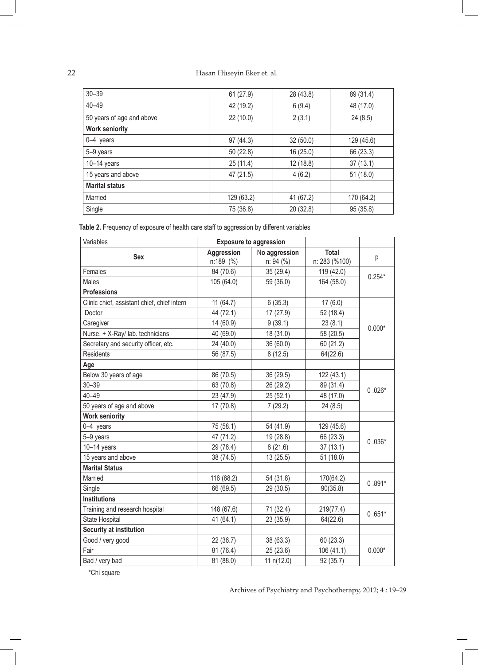| $30 - 39$                 | 61(27.9)   | 28 (43.8) | 89 (31.4)  |
|---------------------------|------------|-----------|------------|
| $40 - 49$                 | 42 (19.2)  | 6(9.4)    | 48 (17.0)  |
| 50 years of age and above | 22(10.0)   | 2(3.1)    | 24(8.5)    |
| <b>Work seniority</b>     |            |           |            |
| 0-4 years                 | 97 (44.3)  | 32(50.0)  | 129 (45.6) |
| 5-9 years                 | 50(22.8)   | 16(25.0)  | 66 (23.3)  |
| $10-14$ years             | 25(11.4)   | 12(18.8)  | 37(13.1)   |
| 15 years and above        | 47 (21.5)  | 4(6.2)    | 51(18.0)   |
| <b>Marital status</b>     |            |           |            |
| Married                   | 129 (63.2) | 41 (67.2) | 170 (64.2) |
| Single                    | 75 (36.8)  | 20 (32.8) | 95 (35.8)  |

**Table 2.** Frequency of exposure of health care staff to aggression by different variables

| Variables                                   |                         | <b>Exposure to aggression</b> |                               |          |
|---------------------------------------------|-------------------------|-------------------------------|-------------------------------|----------|
| <b>Sex</b>                                  | Aggression<br>n:189 (%) | No aggression<br>n: 94 (%)    | <b>Total</b><br>n: 283 (%100) | p        |
| Females                                     | 84 (70.6)               | 35 (29.4)                     | 119 (42.0)                    | $0.254*$ |
| Males                                       | 105 (64.0)              | 59 (36.0)                     | 164 (58.0)                    |          |
| <b>Professions</b>                          |                         |                               |                               |          |
| Clinic chief, assistant chief, chief intern | 11(64.7)                | 6(35.3)                       | 17(6.0)                       |          |
| Doctor                                      | 44 (72.1)               | 17 (27.9)                     | 52 (18.4)                     |          |
| Caregiver                                   | 14 (60.9)               | 9(39.1)                       | 23(8.1)                       | $0.000*$ |
| Nurse. + X-Ray/ lab. technicians            | 40 (69.0)               | 18 (31.0)                     | 58 (20.5)                     |          |
| Secretary and security officer, etc.        | 24 (40.0)               | 36 (60.0)                     | 60 (21.2)                     |          |
| <b>Residents</b>                            | 56 (87.5)               | 8(12.5)                       | 64(22.6)                      |          |
| Age                                         |                         |                               |                               |          |
| Below 30 years of age                       | 86 (70.5)               | 36 (29.5)                     | 122 (43.1)                    |          |
| $30 - 39$                                   | 63 (70.8)               | 26 (29.2)                     | 89 (31.4)                     | $0.026*$ |
| $40 - 49$                                   | 23 (47.9)               | 25(52.1)                      | 48 (17.0)                     |          |
| 50 years of age and above                   | 17 (70.8)               | 7(29.2)                       | 24(8.5)                       |          |
| <b>Work seniority</b>                       |                         |                               |                               |          |
| 0-4 years                                   | 75 (58.1)               | 54 (41.9)                     | 129 (45.6)                    |          |
| 5-9 years                                   | 47 (71.2)               | 19 (28.8)                     | 66 (23.3)                     | $0.036*$ |
| $10-14$ years                               | 29 (78.4)               | 8(21.6)                       | 37(13.1)                      |          |
| 15 years and above                          | 38 (74.5)               | 13(25.5)                      | 51(18.0)                      |          |
| <b>Marital Status</b>                       |                         |                               |                               |          |
| Married                                     | 116 (68.2)              | 54 (31.8)                     | 170(64.2)                     | $0.891*$ |
| Single                                      | 66 (69.5)               | 29 (30.5)                     | 90(35.8)                      |          |
| <b>Institutions</b>                         |                         |                               |                               |          |
| Training and research hospital              | 148 (67.6)              | 71 (32.4)                     | 219(77.4)                     | $0.651*$ |
| State Hospital                              | 41 (64.1)               | 23 (35.9)                     | 64(22.6)                      |          |
| <b>Security at institution</b>              |                         |                               |                               |          |
| Good / very good                            | 22 (36.7)               | 38 (63.3)                     | 60 (23.3)                     |          |
| Fair                                        | 81 (76.4)               | 25(23.6)                      | 106 (41.1)                    | $0.000*$ |
| Bad / very bad                              | 81 (88.0)               | 11 $n(12.0)$                  | 92 (35.7)                     |          |

\*Chi square

 $\overline{\phantom{a}}$ 

Archives of Psychiatry and Psychotherapy, 2012; 4 : 19–29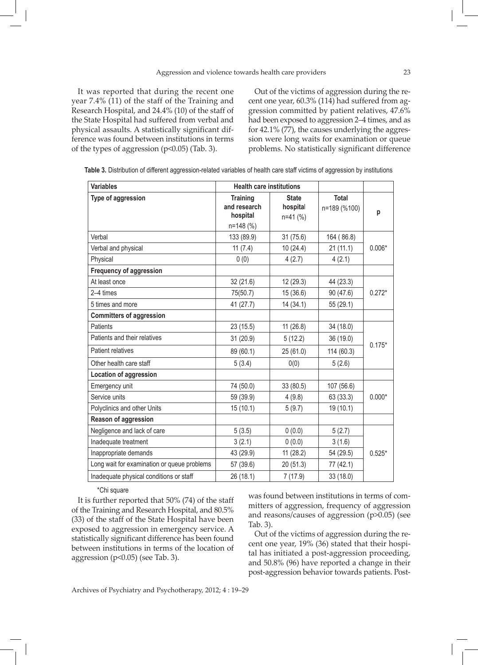It was reported that during the recent one year 7.4% (11) of the staff of the Training and Research Hospital, and 24.4% (10) of the staff of the State Hospital had suffered from verbal and physical assaults. A statistically significant difference was found between institutions in terms of the types of aggression (p<0.05) (Tab. 3).

Out of the victims of aggression during the recent one year, 60.3% (114) had suffered from aggression committed by patient relatives, 47.6% had been exposed to aggression 2–4 times, and as for 42.1% (77), the causes underlying the aggression were long waits for examination or queue problems. No statistically significant difference

| <b>Variables</b>                            | <b>Health care institutions</b>             |                                        |                              |          |
|---------------------------------------------|---------------------------------------------|----------------------------------------|------------------------------|----------|
| Type of aggression                          | <b>Training</b><br>and research<br>hospital | <b>State</b><br>hospital<br>$n=41$ (%) | <b>Total</b><br>n=189 (%100) | p        |
|                                             | n=148 (%)                                   |                                        |                              |          |
| Verbal                                      | 133 (89.9)                                  | 31(75.6)                               | 164 (86.8)                   |          |
| Verbal and physical                         | 11 $(7.4)$                                  | 10(24.4)                               | 21(11.1)                     | $0.006*$ |
| Physical                                    | 0(0)                                        | 4(2.7)                                 | 4(2.1)                       |          |
| <b>Frequency of aggression</b>              |                                             |                                        |                              |          |
| At least once                               | 32 (21.6)                                   | 12 (29.3)                              | 44 (23.3)                    |          |
| 2-4 times                                   | 75(50.7)                                    | 15 (36.6)                              | 90 (47.6)                    | $0.272*$ |
| 5 times and more                            | 41 (27.7)                                   | 14 (34.1)                              | 55 (29.1)                    |          |
| <b>Committers of aggression</b>             |                                             |                                        |                              |          |
| Patients                                    | 23 (15.5)                                   | 11(26.8)                               | 34 (18.0)                    |          |
| Patients and their relatives                | 31 (20.9)                                   | 5(12.2)                                | 36 (19.0)                    | $0.175*$ |
| Patient relatives                           | 89 (60.1)                                   | 25 (61.0)                              | 114 (60.3)                   |          |
| Other health care staff                     | 5(3.4)                                      | 0(0)                                   | 5(2.6)                       |          |
| <b>Location of aggression</b>               |                                             |                                        |                              |          |
| Emergency unit                              | 74 (50.0)                                   | 33 (80.5)                              | 107 (56.6)                   |          |
| Service units                               | 59 (39.9)                                   | 4(9.8)                                 | 63 (33.3)                    | $0.000*$ |
| Polyclinics and other Units                 | 15(10.1)                                    | 5(9.7)                                 | 19 (10.1)                    |          |
| Reason of aggression                        |                                             |                                        |                              |          |
| Negligence and lack of care                 | 5(3.5)                                      | 0(0.0)                                 | 5(2.7)                       |          |
| Inadequate treatment                        | 3(2.1)                                      | 0(0.0)                                 | 3(1.6)                       |          |
| Inappropriate demands                       | 43 (29.9)                                   | 11(28.2)                               | 54 (29.5)                    | $0.525*$ |
| Long wait for examination or queue problems | 57 (39.6)                                   | 20 (51.3)                              | 77 (42.1)                    |          |
| Inadequate physical conditions or staff     | 26 (18.1)                                   | 7(17.9)                                | 33 (18.0)                    |          |

| Table 3. Distribution of different aggression-related variables of health care staff victims of aggression by institutions |  |  |  |
|----------------------------------------------------------------------------------------------------------------------------|--|--|--|
|                                                                                                                            |  |  |  |

\*Chi square

It is further reported that 50% (74) of the staff of the Training and Research Hospital, and 80.5% (33) of the staff of the State Hospital have been exposed to aggression in emergency service. A statistically significant difference has been found between institutions in terms of the location of aggression (p<0.05) (see Tab. 3).

was found between institutions in terms of committers of aggression, frequency of aggression and reasons/causes of aggression (p>0.05) (see Tab. 3).

Out of the victims of aggression during the recent one year, 19% (36) stated that their hospital has initiated a post-aggression proceeding, and 50.8% (96) have reported a change in their post-aggression behavior towards patients. Post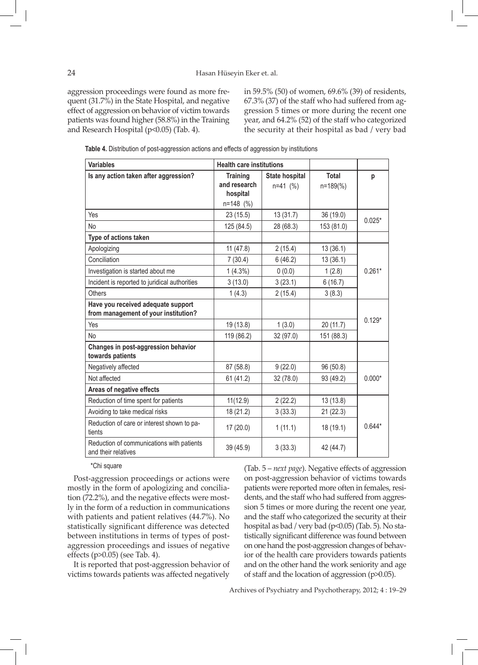aggression proceedings were found as more frequent (31.7%) in the State Hospital, and negative effect of aggression on behavior of victim towards patients was found higher (58.8%) in the Training and Research Hospital (p<0.05) (Tab. 4).

in 59.5% (50) of women, 69.6% (39) of residents, 67.3% (37) of the staff who had suffered from aggression 5 times or more during the recent one year, and 64.2% (52) of the staff who categorized the security at their hospital as bad / very bad

**Table 4.** Distribution of post-aggression actions and effects of aggression by institutions

| <b>Variables</b>                                                 | <b>Health care institutions</b> |                |               |          |
|------------------------------------------------------------------|---------------------------------|----------------|---------------|----------|
| Is any action taken after aggression?                            | <b>Training</b>                 | State hospital | <b>Total</b>  | p        |
|                                                                  | and research<br>hospital        | $n=41$ (%)     | $n = 189$ (%) |          |
|                                                                  | $n=148$ (%)                     |                |               |          |
| Yes                                                              | 23(15.5)                        | 13(31.7)       | 36 (19.0)     |          |
| No                                                               | 125 (84.5)                      | 28 (68.3)      | 153 (81.0)    | $0.025*$ |
| Type of actions taken                                            |                                 |                |               |          |
| Apologizing                                                      | 11(47.8)                        | 2(15.4)        | 13 (36.1)     |          |
| Conciliation                                                     | 7(30.4)                         | 6(46.2)        | 13(36.1)      |          |
| Investigation is started about me                                | $1(4.3\%)$                      | 0(0.0)         | 1(2.8)        | $0.261*$ |
| Incident is reported to juridical authorities                    | 3(13.0)                         | 3(23.1)        | 6(16.7)       |          |
| Others                                                           | 1(4.3)                          | 2(15.4)        | 3(8.3)        |          |
| Have you received adequate support                               |                                 |                |               |          |
| from management of your institution?                             |                                 |                |               | $0.129*$ |
| Yes                                                              | 19 (13.8)                       | 1(3.0)         | 20 (11.7)     |          |
| <b>No</b>                                                        | 119 (86.2)                      | 32 (97.0)      | 151 (88.3)    |          |
| Changes in post-aggression behavior<br>towards patients          |                                 |                |               |          |
| Negatively affected                                              | 87 (58.8)                       | 9(22.0)        | 96 (50.8)     |          |
| Not affected                                                     | 61 (41.2)                       | 32 (78.0)      | 93 (49.2)     | $0.000*$ |
| Areas of negative effects                                        |                                 |                |               |          |
| Reduction of time spent for patients                             | 11(12.9)                        | 2(22.2)        | 13(13.8)      |          |
| Avoiding to take medical risks                                   | 18 (21.2)                       | 3(33.3)        | 21(22.3)      |          |
| Reduction of care or interest shown to pa-<br>tients             | 17 (20.0)                       | 1(11.1)        | 18 (19.1)     | $0.644*$ |
| Reduction of communications with patients<br>and their relatives | 39 (45.9)                       | 3(33.3)        | 42 (44.7)     |          |

\*Chi square

Post-aggression proceedings or actions were mostly in the form of apologizing and conciliation (72.2%), and the negative effects were mostly in the form of a reduction in communications with patients and patient relatives (44.7%). No statistically significant difference was detected between institutions in terms of types of postaggression proceedings and issues of negative effects (p>0.05) (see Tab. 4).

It is reported that post-aggression behavior of victims towards patients was affected negatively

(Tab. 5 – *next page*). Negative effects of aggression on post-aggression behavior of victims towards patients were reported more often in females, residents, and the staff who had suffered from aggression 5 times or more during the recent one year, and the staff who categorized the security at their hospital as bad / very bad (p<0.05) (Tab. 5). No statistically significant difference was found between on one hand the post-aggression changes of behavior of the health care providers towards patients and on the other hand the work seniority and age of staff and the location of aggression (p>0.05).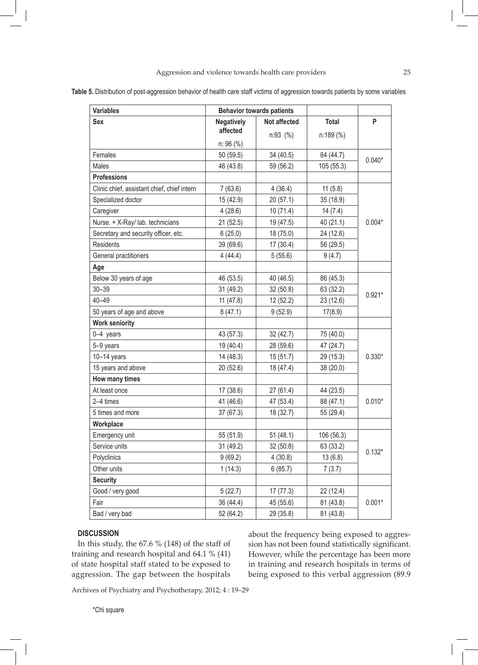| <b>Variables</b>                            | <b>Behavior towards patients</b> |                     |              |          |
|---------------------------------------------|----------------------------------|---------------------|--------------|----------|
| <b>Sex</b>                                  | <b>Negatively</b>                | <b>Not affected</b> | <b>Total</b> | P        |
|                                             | affected                         | $n:93$ (%)          | n:189 (%)    |          |
|                                             | n: 96 (%)                        |                     |              |          |
| Females                                     | 50 (59.5)                        | 34 (40.5)           | 84 (44.7)    | $0.040*$ |
| Males                                       | 46 (43.8)                        | 59 (56.2)           | 105 (55.3)   |          |
| <b>Professions</b>                          |                                  |                     |              |          |
| Clinic chief, assistant chief, chief intern | 7(63.6)                          | 4(36.4)             | 11(5.8)      |          |
| Specialized doctor                          | 15 (42.9)                        | 20(57.1)            | 35 (18.9)    |          |
| Caregiver                                   | 4(28.6)                          | 10(71.4)            | 14(7.4)      |          |
| Nurse. + X-Ray/ lab. technicians            | 21 (52.5)                        | 19 (47.5)           | 40 (21.1)    | $0.004*$ |
| Secretary and security officer, etc.        | 6(25.0)                          | 18 (75.0)           | 24 (12.6)    |          |
| <b>Residents</b>                            | 39 (69.6)                        | 17(30.4)            | 56 (29.5)    |          |
| General practitioners                       | 4(44.4)                          | 5(55.6)             | 9(4.7)       |          |
| Age                                         |                                  |                     |              |          |
| Below 30 years of age                       | 46 (53.5)                        | 40 (46.5)           | 86 (45.3)    |          |
| $30 - 39$                                   | 31 (49.2)                        | 32(50.8)            | 63 (32.2)    |          |
| $40 - 49$                                   | 11(47.8)                         | 12 (52.2)           | 23 (12.6)    | $0.921*$ |
| 50 years of age and above                   | 8(47.1)                          | 9(52.9)             | 17(8.9)      |          |
| <b>Work seniority</b>                       |                                  |                     |              |          |
| 0-4 years                                   | 43 (57.3)                        | 32(42.7)            | 75 (40.0)    |          |
| 5-9 years                                   | 19 (40.4)                        | 28 (59.6)           | 47 (24.7)    |          |
| $10-14$ years                               | 14 (48.3)                        | 15(51.7)            | 29 (15.3)    | $0.330*$ |
| 15 years and above                          | 20 (52.6)                        | 18 (47.4)           | 38 (20.0)    |          |
| How many times                              |                                  |                     |              |          |
| At least once                               | 17 (38.6)                        | 27(61.4)            | 44 (23.5)    |          |
| 2-4 times                                   | 41 (46.6)                        | 47 (53.4)           | 88 (47.1)    | $0.010*$ |
| 5 times and more                            | 37 (67.3)                        | 18 (32.7)           | 55 (29.4)    |          |
| Workplace                                   |                                  |                     |              |          |
| Emergency unit                              | 55 (51.9)                        | 51 (48.1)           | 106 (56.3)   |          |
| Service units                               | 31 (49.2)                        | 32 (50.8)           | 63 (33.2)    |          |
| Polyclinics                                 | 9(69.2)                          | 4(30.8)             | 13(6.8)      | $0.132*$ |
| Other units                                 | 1(14.3)                          | 6(85.7)             | 7(3.7)       |          |
| <b>Security</b>                             |                                  |                     |              |          |
| Good / very good                            | 5(22.7)                          | 17(77.3)            | 22 (12.4)    |          |
| Fair                                        | 36 (44.4)                        | 45 (55.6)           | 81 (43.8)    | $0.001*$ |
| Bad / very bad                              | 52 (64.2)                        | 29 (35.8)           | 81 (43.8)    |          |

**Table 5.** Distribution of post-aggression behavior of health care staff victims of aggression towards patients by some variables

### **DISCUSSION**

In this study, the 67.6 % (148) of the staff of training and research hospital and 64.1 % (41) of state hospital staff stated to be exposed to aggression. The gap between the hospitals

about the frequency being exposed to aggression has not been found statistically significant. However, while the percentage has been more in training and research hospitals in terms of being exposed to this verbal aggression (89.9

Archives of Psychiatry and Psychotherapy, 2012; 4 : 19–29

\*Chi square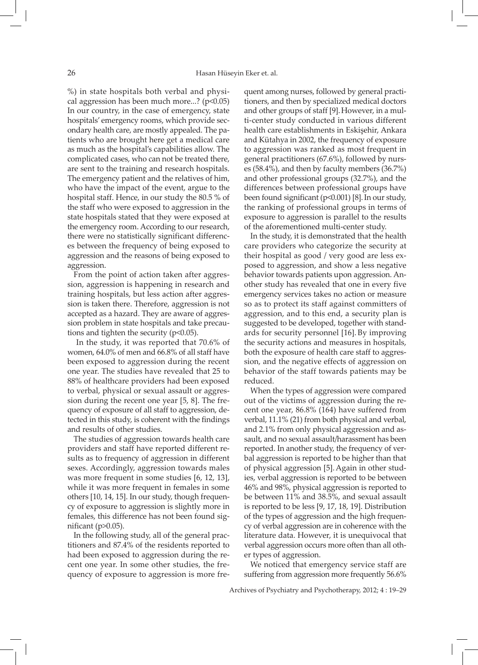%) in state hospitals both verbal and physical aggression has been much more...? ( $p<0.05$ ) In our country, in the case of emergency, state hospitals' emergency rooms, which provide secondary health care, are mostly appealed. The patients who are brought here get a medical care as much as the hospital's capabilities allow. The complicated cases, who can not be treated there, are sent to the training and research hospitals. The emergency patient and the relatives of him, who have the impact of the event, argue to the hospital staff. Hence, in our study the 80.5 % of the staff who were exposed to aggression in the state hospitals stated that they were exposed at the emergency room. According to our research, there were no statistically significant differences between the frequency of being exposed to aggression and the reasons of being exposed to aggression.

From the point of action taken after aggression, aggression is happening in research and training hospitals, but less action after aggression is taken there. Therefore, aggression is not accepted as a hazard. They are aware of aggression problem in state hospitals and take precautions and tighten the security  $(p<0.05)$ .

 In the study, it was reported that 70.6% of women, 64.0% of men and 66.8% of all staff have been exposed to aggression during the recent one year. The studies have revealed that 25 to 88% of healthcare providers had been exposed to verbal, physical or sexual assault or aggression during the recent one year [5, 8]. The frequency of exposure of all staff to aggression, detected in this study, is coherent with the findings and results of other studies.

The studies of aggression towards health care providers and staff have reported different results as to frequency of aggression in different sexes. Accordingly, aggression towards males was more frequent in some studies [6, 12, 13], while it was more frequent in females in some others [10, 14, 15]. In our study, though frequency of exposure to aggression is slightly more in females, this difference has not been found significant ( $p > 0.05$ ).

In the following study, all of the general practitioners and 87.4% of the residents reported to had been exposed to aggression during the recent one year. In some other studies, the frequency of exposure to aggression is more frequent among nurses, followed by general practitioners, and then by specialized medical doctors and other groups of staff [9]. However, in a multi-center study conducted in various different health care establishments in Eskişehir, Ankara and Kütahya in 2002, the frequency of exposure to aggression was ranked as most frequent in general practitioners (67.6%), followed by nurses (58.4%), and then by faculty members (36.7%) and other professional groups (32.7%), and the differences between professional groups have been found significant (p<0.001) [8].In our study, the ranking of professional groups in terms of exposure to aggression is parallel to the results of the aforementioned multi-center study.

In the study, it is demonstrated that the health care providers who categorize the security at their hospital as good / very good are less exposed to aggression, and show a less negative behavior towards patients upon aggression. Another study has revealed that one in every five emergency services takes no action or measure so as to protect its staff against committers of aggression, and to this end, a security plan is suggested to be developed, together with standards for security personnel [16]. By improving the security actions and measures in hospitals, both the exposure of health care staff to aggression, and the negative effects of aggression on behavior of the staff towards patients may be reduced.

When the types of aggression were compared out of the victims of aggression during the recent one year, 86.8% (164) have suffered from verbal, 11.1% (21) from both physical and verbal, and 2.1% from only physical aggression and assault, and no sexual assault/harassment has been reported. In another study, the frequency of verbal aggression is reported to be higher than that of physical aggression [5].Again in other studies, verbal aggression is reported to be between 46% and 98%, physical aggression is reported to be between 11% and 38.5%, and sexual assault is reported to be less [9, 17, 18, 19]. Distribution of the types of aggression and the high frequency of verbal aggression are in coherence with the literature data. However, it is unequivocal that verbal aggression occurs more often than all other types of aggression.

We noticed that emergency service staff are suffering from aggression more frequently 56.6%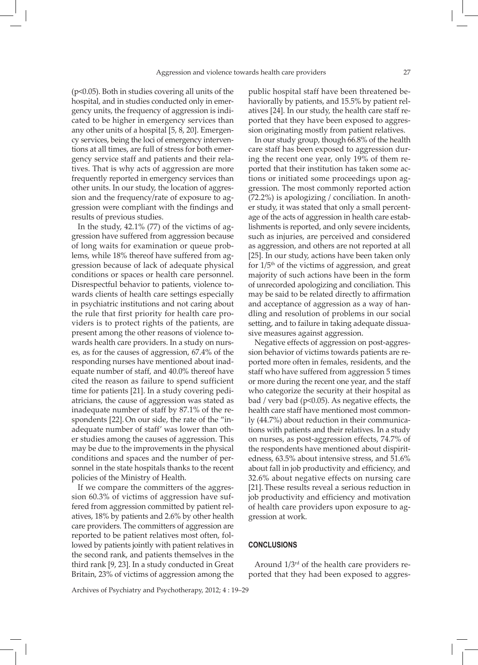(p<0.05). Both in studies covering all units of the hospital, and in studies conducted only in emergency units, the frequency of aggression is indicated to be higher in emergency services than any other units of a hospital [5, 8, 20]. Emergency services, being the loci of emergency interventions at all times, are full of stress for both emergency service staff and patients and their relatives. That is why acts of aggression are more frequently reported in emergency services than other units. In our study, the location of aggression and the frequency/rate of exposure to aggression were compliant with the findings and results of previous studies.

In the study, 42.1% (77) of the victims of aggression have suffered from aggression because of long waits for examination or queue problems, while 18% thereof have suffered from aggression because of lack of adequate physical conditions or spaces or health care personnel. Disrespectful behavior to patients, violence towards clients of health care settings especially in psychiatric institutions and not caring about the rule that first priority for health care providers is to protect rights of the patients, are present among the other reasons of violence towards health care providers. In a study on nurses, as for the causes of aggression, 67.4% of the responding nurses have mentioned about inadequate number of staff, and 40.0% thereof have cited the reason as failure to spend sufficient time for patients [21]. In a study covering pediatricians, the cause of aggression was stated as inadequate number of staff by 87.1% of the respondents [22]. On our side, the rate of the "inadequate number of staff' was lower than other studies among the causes of aggression. This may be due to the improvements in the physical conditions and spaces and the number of personnel in the state hospitals thanks to the recent policies of the Ministry of Health.

If we compare the committers of the aggression 60.3% of victims of aggression have suffered from aggression committed by patient relatives, 18% by patients and 2.6% by other health care providers. The committers of aggression are reported to be patient relatives most often, followed by patients jointly with patient relatives in the second rank, and patients themselves in the third rank [9, 23]. In a study conducted in Great Britain, 23% of victims of aggression among the

public hospital staff have been threatened behaviorally by patients, and 15.5% by patient relatives [24]. In our study, the health care staff reported that they have been exposed to aggression originating mostly from patient relatives.

In our study group, though 66.8% of the health care staff has been exposed to aggression during the recent one year, only 19% of them reported that their institution has taken some actions or initiated some proceedings upon aggression. The most commonly reported action (72.2%) is apologizing / conciliation. In another study, it was stated that only a small percentage of the acts of aggression in health care establishments is reported, and only severe incidents, such as injuries, are perceived and considered as aggression, and others are not reported at all [25]. In our study, actions have been taken only for  $1/5<sup>th</sup>$  of the victims of aggression, and great majority of such actions have been in the form of unrecorded apologizing and conciliation. This may be said to be related directly to affirmation and acceptance of aggression as a way of handling and resolution of problems in our social setting, and to failure in taking adequate dissuasive measures against aggression.

Negative effects of aggression on post-aggression behavior of victims towards patients are reported more often in females, residents, and the staff who have suffered from aggression 5 times or more during the recent one year, and the staff who categorize the security at their hospital as bad / very bad (p<0.05). As negative effects, the health care staff have mentioned most commonly (44.7%) about reduction in their communications with patients and their relatives. In a study on nurses, as post-aggression effects, 74.7% of the respondents have mentioned about dispiritedness, 63.5% about intensive stress, and 51.6% about fall in job productivity and efficiency, and 32.6% about negative effects on nursing care [21]. These results reveal a serious reduction in job productivity and efficiency and motivation of health care providers upon exposure to aggression at work.

#### **CONCLUSIONS**

Around  $1/3^{rd}$  of the health care providers reported that they had been exposed to aggres-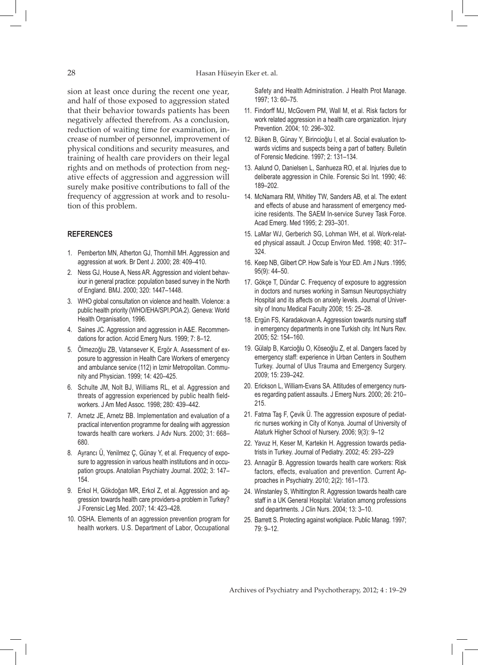sion at least once during the recent one year, and half of those exposed to aggression stated that their behavior towards patients has been negatively affected therefrom. As a conclusion, reduction of waiting time for examination, increase of number of personnel, improvement of physical conditions and security measures, and training of health care providers on their legal rights and on methods of protection from negative effects of aggression and aggression will surely make positive contributions to fall of the frequency of aggression at work and to resolution of this problem.

# **REFERENCES**

- 1. Pemberton MN, Atherton GJ, Thornhill MH. Aggression and aggression at work. Br Dent J. 2000; 28: 409–410.
- 2. Ness GJ, House A, Ness AR. Aggression and violent behaviour in general practice: population based survey in the North of England. BMJ. 2000; 320: 1447–1448.
- 3. WHO global consultation on violence and health. Violence: a public health priority (WHO/EHA/SPI.POA.2). Geneva: World Health Organisation, 1996.
- 4. Saines JC. Aggression and aggression in A&E. Recommendations for action. Accid Emerg Nurs. 1999; 7: 8–12.
- 5. Ölmezoğlu ZB, Vatansever K, Ergör A. Assessment of exposure to aggression in Health Care Workers of emergency and ambulance service (112) in Izmir Metropolitan. Community and Physician. 1999; 14: 420–425.
- 6. Schulte JM, Nolt BJ, Williams RL, et al. Aggression and threats of aggression experienced by public health fieldworkers. J Am Med Assoc. 1998; 280: 439–442.
- 7. Arnetz JE, Arnetz BB. Implementation and evaluation of a practical intervention programme for dealing with aggression towards health care workers. J Adv Nurs. 2000; 31: 668– 680.
- 8. Ayrancı Ü, Yenilmez Ç, Günay Y, et al. Frequency of exposure to aggression in various health institutions and in occupation groups. Anatolian Psychiatry Journal. 2002; 3: 147– 154.
- 9. Erkol H, Gökdoğan MR, Erkol Z, et al. Aggression and aggression towards health care providers-a problem in Turkey? J Forensic Leg Med. 2007; 14: 423–428.
- 10. OSHA. Elements of an aggression prevention program for health workers. U.S. Department of Labor, Occupational

Safety and Health Administration. J Health Prot Manage. 1997; 13: 60–75.

- 11. Findorff MJ, McGovern PM, Wall M, et al. Risk factors for work related aggression in a health care organization. Injury Prevention. 2004; 10: 296–302.
- 12. Büken B, Günay Y, Birincioğlu I, et al. Social evaluation towards victims and suspects being a part of battery. Bulletin of Forensic Medicine. 1997; 2: 131–134.
- 13. Aalund O, Danielsen L, Sanhueza RO, et al. Injuries due to deliberate aggression in Chile. Forensic Sci Int. 1990; 46: 189–202.
- 14. McNamara RM, Whitley TW, Sanders AB, et al. The extent and effects of abuse and harassment of emergency medicine residents. The SAEM In-service Survey Task Force. Acad Emerg. Med 1995; 2: 293–301.
- 15. LaMar WJ, Gerberich SG, Lohman WH, et al. Work-related physical assault. J Occup Environ Med. 1998; 40: 317– 324.
- 16. Keep NB, Glibert CP. How Safe is Your ED. Am J Nurs .1995; 95(9): 44–50.
- 17. Gökçe T, Dündar C. Frequency of exposure to aggression in doctors and nurses working in Samsun Neuropsychiatry Hospital and its affects on anxiety levels. Journal of University of Inonu Medical Faculty 2008; 15: 25–28.
- 18. Ergün FS, Karadakovan A. Aggression towards nursing staff in emergency departments in one Turkish city. Int Nurs Rev. 2005; 52: 154–160.
- 19. Gülalp B, Karcioğlu O, Köseoğlu Z, et al. Dangers faced by emergency staff: experience in Urban Centers in Southern Turkey. Journal of Ulus Trauma and Emergency Surgery. 2009; 15: 239–242.
- 20. Erickson L, William-Evans SA. Attitudes of emergency nurses regarding patient assaults. J Emerg Nurs. 2000; 26: 210– 215.
- 21. Fatma Taş F, Çevik Ü. The aggression exposure of pediatric nurses working in City of Konya. Journal of University of Ataturk Higher School of Nursery. 2006; 9(3): 9–12
- 22. Yavuz H, Keser M, Kartekin H. Aggression towards pediatrists in Turkey. Journal of Pediatry. 2002; 45: 293–229
- 23. Annagür B. Aggression towards health care workers: Risk factors, effects, evaluation and prevention. Current Approaches in Psychiatry. 2010; 2(2): 161–173.
- 24. Winstanley S, Whittington R. Aggression towards health care staff in a UK General Hospital: Variation among professions and departments. J Clin Nurs. 2004; 13: 3–10.
- 25. Barrett S. Protecting against workplace. Public Manag. 1997; 79: 9–12.